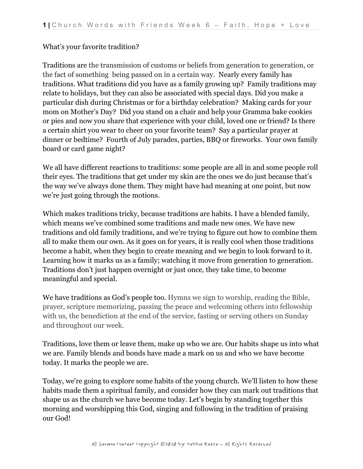## What's your favorite tradition?

Traditions are the transmission of customs or beliefs from generation to generation, or the fact of something being passed on in a certain way. Nearly every family has traditions. What traditions did you have as a family growing up? Family traditions may relate to holidays, but they can also be associated with special days. Did you make a particular dish during Christmas or for a birthday celebration? Making cards for your mom on Mother's Day? Did you stand on a chair and help your Gramma bake cookies or pies and now you share that experience with your child, loved one or friend? Is there a certain shirt you wear to cheer on your favorite team? Say a particular prayer at dinner or bedtime? Fourth of July parades, parties, BBQ or fireworks. Your own family board or card game night?

We all have different reactions to traditions: some people are all in and some people roll their eyes. The traditions that get under my skin are the ones we do just because that's the way we've always done them. They might have had meaning at one point, but now we're just going through the motions.

Which makes traditions tricky, because traditions are habits. I have a blended family, which means we've combined some traditions and made new ones. We have new traditions and old family traditions, and we're trying to figure out how to combine them all to make them our own. As it goes on for years, it is really cool when those traditions become a habit, when they begin to create meaning and we begin to look forward to it. Learning how it marks us as a family; watching it move from generation to generation. Traditions don't just happen overnight or just once, they take time, to become meaningful and special.

We have traditions as God's people too. Hymns we sign to worship, reading the Bible, prayer, scripture memorizing, passing the peace and welcoming others into fellowship with us, the benediction at the end of the service, fasting or serving others on Sunday and throughout our week.

Traditions, love them or leave them, make up who we are. Our habits shape us into what we are. Family blends and bonds have made a mark on us and who we have become today. It marks the people we are.

Today, we're going to explore some habits of the young church. We'll listen to how these habits made them a spiritual family, and consider how they can mark out traditions that shape us as the church we have become today. Let's begin by standing together this morning and worshipping this God, singing and following in the tradition of praising our God!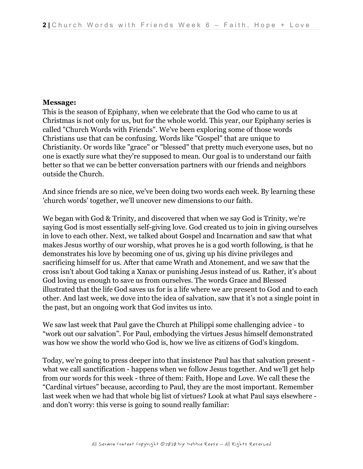#### **Message:**

This is the season of Epiphany, when we celebrate that the God who came to us at Christmas is not only for us, but for the whole world. This year, our Epiphany series is called "Church Words with Friends". We've been exploring some of those words Christians use that can be confusing. Words like "Gospel" that are unique to Christianity. Or words like "grace" or "blessed" that pretty much everyone uses, but no one is exactly sure what they're supposed to mean. Our goal is to understand our faith better so that we can be better conversation partners with our friends and neighbors outside the Church.

And since friends are so nice, we've been doing two words each week. By learning these 'church words' together, we'll uncover new dimensions to our faith.

We began with God & Trinity, and discovered that when we say God is Trinity, we're saying God is most essentially self-giving love. God created us to join in giving ourselves in love to each other. Next, we talked about Gospel and Incarnation and saw that what makes Jesus worthy of our worship, what proves he is a god worth following, is that he demonstrates his love by becoming one of us, giving up his divine privileges and sacrificing himself for us. After that came Wrath and Atonement, and we saw that the cross isn't about God taking a Xanax or punishing Jesus instead of us. Rather, it's about God loving us enough to save us from ourselves. The words Grace and Blessed illustrated that the life God saves us for is a life where we are present to God and to each other. And last week, we dove into the idea of salvation, saw that it's not a single point in the past, but an ongoing work that God invites us into.

We saw last week that Paul gave the Church at Philippi some challenging advice - to "work out our salvation". For Paul, embodying the virtues Jesus himself demonstrated was how we show the world who God is, how we live as citizens of God's kingdom.

Today, we're going to press deeper into that insistence Paul has that salvation present what we call sanctification - happens when we follow Jesus together. And we'll get help from our words for this week - three of them: Faith, Hope and Love. We call these the "Cardinal virtues" because, according to Paul, they are the most important. Remember last week when we had that whole big list of virtues? Look at what Paul says elsewhere and don't worry: this verse is going to sound really familiar: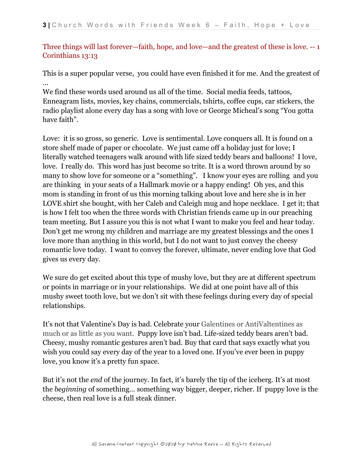# Three things will last forever—faith, hope, and love—and the greatest of these is love. -- 1 Corinthians 13:13

This is a super popular verse, you could have even finished it for me. And the greatest of ...

We find these words used around us all of the time. Social media feeds, tattoos, Enneagram lists, movies, key chains, commercials, tshirts, coffee cups, car stickers, the radio playlist alone every day has a song with love or George Micheal's song "You gotta have faith".

Love: it is so gross, so generic. Love is sentimental. Love conquers all. It is found on a store shelf made of paper or chocolate. We just came off a holiday just for love; I literally watched teenagers walk around with life sized teddy bears and balloons! I love, love. I really do. This word has just become so trite. It is a word thrown around by so many to show love for someone or a "something". I know your eyes are rolling and you are thinking in your seats of a Hallmark movie or a happy ending! Oh yes, and this mom is standing in front of us this morning talking about love and here she is in her LOVE shirt she bought, with her Caleb and Caleigh mug and hope necklace. I get it; that is how I felt too when the three words with Christian friends came up in our preaching team meeting. But I assure you this is not what I want to make you feel and hear today. Don't get me wrong my children and marriage are my greatest blessings and the ones I love more than anything in this world, but I do not want to just convey the cheesy romantic love today. I want to convey the forever, ultimate, never ending love that God gives us every day.

We sure do get excited about this type of mushy love, but they are at different spectrum or points in marriage or in your relationships. We did at one point have all of this mushy sweet tooth love, but we don't sit with these feelings during every day of special relationships.

It's not that Valentine's Day is bad. Celebrate your Galentines or AntiValtentines as much or as little as you want. Puppy love isn't bad. Life-sized teddy bears aren't bad. Cheesy, mushy romantic gestures aren't bad. Buy that card that says exactly what you wish you could say every day of the year to a loved one. If you've ever been in puppy love, you know it's a pretty fun space.

But it's not the *end* of the journey. In fact, it's barely the tip of the iceberg. It's at most the *beginning* of something… something way bigger, deeper, richer. If puppy love is the cheese, then real love is a full steak dinner.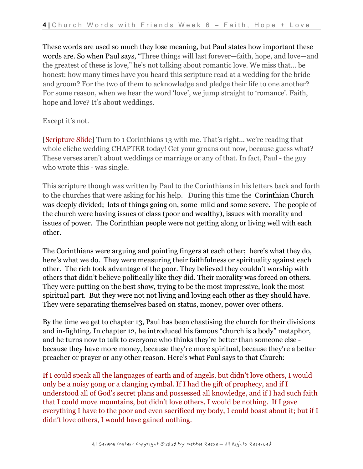These words are used so much they lose meaning, but Paul states how important these words are. So when Paul says, "Three things will last forever—faith, hope, and love—and the greatest of these is love," he's not talking about romantic love. We miss that… be honest: how many times have you heard this scripture read at a wedding for the bride and groom? For the two of them to acknowledge and pledge their life to one another? For some reason, when we hear the word 'love', we jump straight to 'romance'. Faith, hope and love? It's about weddings.

#### Except it's not.

[Scripture Slide] Turn to 1 Corinthians 13 with me. That's right… we're reading that whole cliche wedding CHAPTER today! Get your groans out now, because guess what? These verses aren't about weddings or marriage or any of that. In fact, Paul - the guy who wrote this - was single.

This scripture though was written by Paul to the Corinthians in his letters back and forth to the churches that were asking for his help. During this time the Corinthian Church was deeply divided; lots of things going on, some mild and some severe. The people of the church were having issues of class (poor and wealthy), issues with morality and issues of power. The Corinthian people were not getting along or living well with each other.

The Corinthians were arguing and pointing fingers at each other; here's what they do, here's what we do. They were measuring their faithfulness or spirituality against each other. The rich took advantage of the poor. They believed they couldn't worship with others that didn't believe politically like they did. Their morality was forced on others. They were putting on the best show, trying to be the most impressive, look the most spiritual part. But they were not not living and loving each other as they should have. They were separating themselves based on status, money, power over others.

By the time we get to chapter 13, Paul has been chastising the church for their divisions and in-fighting. In chapter 12, he introduced his famous "church is a body" metaphor, and he turns now to talk to everyone who thinks they're better than someone else because they have more money, because they're more spiritual, because they're a better preacher or prayer or any other reason. Here's what Paul says to that Church:

If I could speak all the languages of earth and of angels, but didn't love others, I would only be a noisy gong or a clanging cymbal. If I had the gift of prophecy, and if I understood all of God's secret plans and possessed all knowledge, and if I had such faith that I could move mountains, but didn't love others, I would be nothing. If I gave everything I have to the poor and even sacrificed my body, I could boast about it; but if I didn't love others, I would have gained nothing.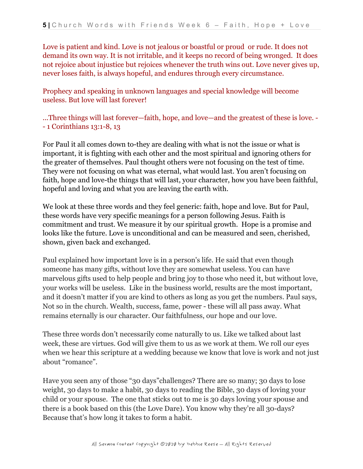Love is patient and kind. Love is not jealous or boastful or proud or rude. It does not demand its own way. It is not irritable, and it keeps no record of being wronged. It does not rejoice about injustice but rejoices whenever the truth wins out. Love never gives up, never loses faith, is always hopeful, and endures through every circumstance.

Prophecy and speaking in unknown languages and special knowledge will become useless. But love will last forever!

...Three things will last forever—faith, hope, and love—and the greatest of these is love. - - 1 Corinthians 13:1-8, 13

For Paul it all comes down to-they are dealing with what is not the issue or what is important, it is fighting with each other and the most spiritual and ignoring others for the greater of themselves. Paul thought others were not focusing on the test of time. They were not focusing on what was eternal, what would last. You aren't focusing on faith, hope and love-the things that will last, your character, how you have been faithful, hopeful and loving and what you are leaving the earth with.

We look at these three words and they feel generic: faith, hope and love. But for Paul, these words have very specific meanings for a person following Jesus. Faith is commitment and trust. We measure it by our spiritual growth. Hope is a promise and looks like the future. Love is unconditional and can be measured and seen, cherished, shown, given back and exchanged.

Paul explained how important love is in a person's life. He said that even though someone has many gifts, without love they are somewhat useless. You can have marvelous gifts used to help people and bring joy to those who need it, but without love, your works will be useless. Like in the business world, results are the most important, and it doesn't matter if you are kind to others as long as you get the numbers. Paul says, Not so in the church. Wealth, success, fame, power - these will all pass away. What remains eternally is our character. Our faithfulness, our hope and our love.

These three words don't necessarily come naturally to us. Like we talked about last week, these are virtues. God will give them to us as we work at them. We roll our eyes when we hear this scripture at a wedding because we know that love is work and not just about "romance".

Have you seen any of those "30 days"challenges? There are so many; 30 days to lose weight, 30 days to make a habit, 30 days to reading the Bible, 30 days of loving your child or your spouse. The one that sticks out to me is 30 days loving your spouse and there is a book based on this (the Love Dare). You know why they're all 30-days? Because that's how long it takes to form a habit.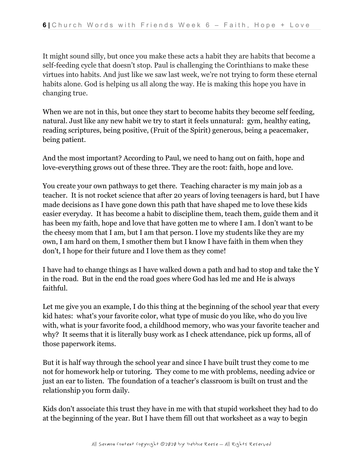It might sound silly, but once you make these acts a habit they are habits that become a self-feeding cycle that doesn't stop. Paul is challenging the Corinthians to make these virtues into habits. And just like we saw last week, we're not trying to form these eternal habits alone. God is helping us all along the way. He is making this hope you have in changing true.

When we are not in this, but once they start to become habits they become self feeding, natural. Just like any new habit we try to start it feels unnatural: gym, healthy eating, reading scriptures, being positive, (Fruit of the Spirit) generous, being a peacemaker, being patient.

And the most important? According to Paul, we need to hang out on faith, hope and love-everything grows out of these three. They are the root: faith, hope and love.

You create your own pathways to get there. Teaching character is my main job as a teacher. It is not rocket science that after 20 years of loving teenagers is hard, but I have made decisions as I have gone down this path that have shaped me to love these kids easier everyday. It has become a habit to discipline them, teach them, guide them and it has been my faith, hope and love that have gotten me to where I am. I don't want to be the cheesy mom that I am, but I am that person. I love my students like they are my own, I am hard on them, I smother them but I know I have faith in them when they don't, I hope for their future and I love them as they come!

I have had to change things as I have walked down a path and had to stop and take the Y in the road. But in the end the road goes where God has led me and He is always faithful.

Let me give you an example, I do this thing at the beginning of the school year that every kid hates: what's your favorite color, what type of music do you like, who do you live with, what is your favorite food, a childhood memory, who was your favorite teacher and why? It seems that it is literally busy work as I check attendance, pick up forms, all of those paperwork items.

But it is half way through the school year and since I have built trust they come to me not for homework help or tutoring. They come to me with problems, needing advice or just an ear to listen. The foundation of a teacher's classroom is built on trust and the relationship you form daily.

Kids don't associate this trust they have in me with that stupid worksheet they had to do at the beginning of the year. But I have them fill out that worksheet as a way to begin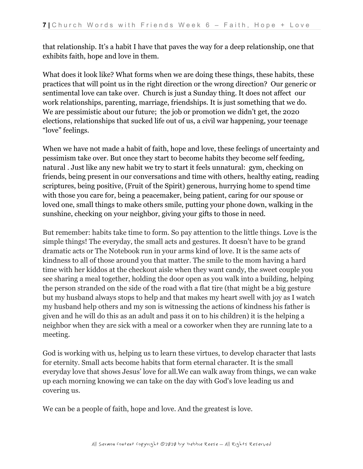that relationship. It's a habit I have that paves the way for a deep relationship, one that exhibits faith, hope and love in them.

What does it look like? What forms when we are doing these things, these habits, these practices that will point us in the right direction or the wrong direction? Our generic or sentimental love can take over. Church is just a Sunday thing. It does not affect our work relationships, parenting, marriage, friendships. It is just something that we do. We are pessimistic about our future; the job or promotion we didn't get, the 2020 elections, relationships that sucked life out of us, a civil war happening, your teenage "love" feelings.

When we have not made a habit of faith, hope and love, these feelings of uncertainty and pessimism take over. But once they start to become habits they become self feeding, natural . Just like any new habit we try to start it feels unnatural: gym, checking on friends, being present in our conversations and time with others, healthy eating, reading scriptures, being positive, (Fruit of the Spirit) generous, hurrying home to spend time with those you care for, being a peacemaker, being patient, caring for our spouse or loved one, small things to make others smile, putting your phone down, walking in the sunshine, checking on your neighbor, giving your gifts to those in need.

But remember: habits take time to form. So pay attention to the little things. Love is the simple things! The everyday, the small acts and gestures. It doesn't have to be grand dramatic acts or The Notebook run in your arms kind of love. It is the same acts of kindness to all of those around you that matter. The smile to the mom having a hard time with her kiddos at the checkout aisle when they want candy, the sweet couple you see sharing a meal together, holding the door open as you walk into a building, helping the person stranded on the side of the road with a flat tire (that might be a big gesture but my husband always stops to help and that makes my heart swell with joy as I watch my husband help others and my son is witnessing the actions of kindness his father is given and he will do this as an adult and pass it on to his children) it is the helping a neighbor when they are sick with a meal or a coworker when they are running late to a meeting.

God is working with us, helping us to learn these virtues, to develop character that lasts for eternity. Small acts become habits that form eternal character. It is the small everyday love that shows Jesus' love for all.We can walk away from things, we can wake up each morning knowing we can take on the day with God's love leading us and covering us.

We can be a people of faith, hope and love. And the greatest is love.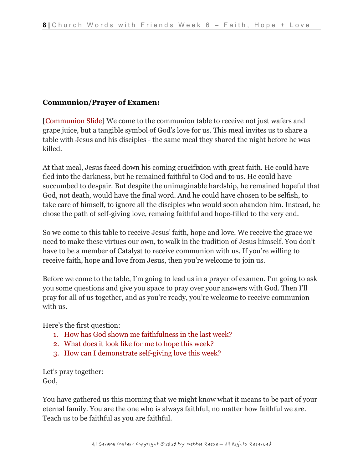# **Communion/Prayer of Examen:**

[Communion Slide] We come to the communion table to receive not just wafers and grape juice, but a tangible symbol of God's love for us. This meal invites us to share a table with Jesus and his disciples - the same meal they shared the night before he was killed.

At that meal, Jesus faced down his coming crucifixion with great faith. He could have fled into the darkness, but he remained faithful to God and to us. He could have succumbed to despair. But despite the unimaginable hardship, he remained hopeful that God, not death, would have the final word. And he could have chosen to be selfish, to take care of himself, to ignore all the disciples who would soon abandon him. Instead, he chose the path of self-giving love, remaing faithful and hope-filled to the very end.

So we come to this table to receive Jesus' faith, hope and love. We receive the grace we need to make these virtues our own, to walk in the tradition of Jesus himself. You don't have to be a member of Catalyst to receive communion with us. If you're willing to receive faith, hope and love from Jesus, then you're welcome to join us.

Before we come to the table, I'm going to lead us in a prayer of examen. I'm going to ask you some questions and give you space to pray over your answers with God. Then I'll pray for all of us together, and as you're ready, you're welcome to receive communion with us.

Here's the first question:

- 1. How has God shown me faithfulness in the last week?
- 2. What does it look like for me to hope this week?
- 3. How can I demonstrate self-giving love this week?

Let's pray together: God,

You have gathered us this morning that we might know what it means to be part of your eternal family. You are the one who is always faithful, no matter how faithful we are. Teach us to be faithful as you are faithful.